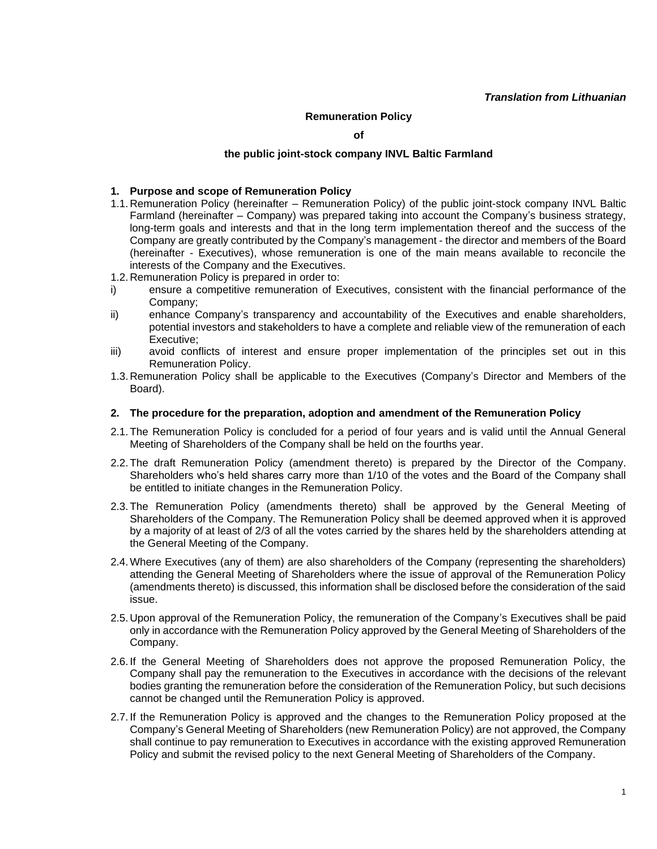## **Remuneration Policy**

**of**

## **the public joint-stock company INVL Baltic Farmland**

#### **1. Purpose and scope of Remuneration Policy**

- 1.1. Remuneration Policy (hereinafter Remuneration Policy) of the public joint-stock company INVL Baltic Farmland (hereinafter – Company) was prepared taking into account the Company's business strategy, long-term goals and interests and that in the long term implementation thereof and the success of the Company are greatly contributed by the Company's management - the director and members of the Board (hereinafter - Executives), whose remuneration is one of the main means available to reconcile the interests of the Company and the Executives.
- 1.2. Remuneration Policy is prepared in order to:
- i) ensure a competitive remuneration of Executives, consistent with the financial performance of the Company;
- ii) enhance Company's transparency and accountability of the Executives and enable shareholders, potential investors and stakeholders to have a complete and reliable view of the remuneration of each Executive;
- iii) avoid conflicts of interest and ensure proper implementation of the principles set out in this Remuneration Policy.
- 1.3. Remuneration Policy shall be applicable to the Executives (Company's Director and Members of the Board).

#### **2. The procedure for the preparation, adoption and amendment of the Remuneration Policy**

- 2.1.The Remuneration Policy is concluded for a period of four years and is valid until the Annual General Meeting of Shareholders of the Company shall be held on the fourths year.
- 2.2.The draft Remuneration Policy (amendment thereto) is prepared by the Director of the Company. Shareholders who's held shares carry more than 1/10 of the votes and the Board of the Company shall be entitled to initiate changes in the Remuneration Policy.
- 2.3.The Remuneration Policy (amendments thereto) shall be approved by the General Meeting of Shareholders of the Company. The Remuneration Policy shall be deemed approved when it is approved by a majority of at least of 2/3 of all the votes carried by the shares held by the shareholders attending at the General Meeting of the Company.
- 2.4.Where Executives (any of them) are also shareholders of the Company (representing the shareholders) attending the General Meeting of Shareholders where the issue of approval of the Remuneration Policy (amendments thereto) is discussed, this information shall be disclosed before the consideration of the said issue.
- 2.5. Upon approval of the Remuneration Policy, the remuneration of the Company's Executives shall be paid only in accordance with the Remuneration Policy approved by the General Meeting of Shareholders of the Company.
- 2.6. If the General Meeting of Shareholders does not approve the proposed Remuneration Policy, the Company shall pay the remuneration to the Executives in accordance with the decisions of the relevant bodies granting the remuneration before the consideration of the Remuneration Policy, but such decisions cannot be changed until the Remuneration Policy is approved.
- 2.7. If the Remuneration Policy is approved and the changes to the Remuneration Policy proposed at the Company's General Meeting of Shareholders (new Remuneration Policy) are not approved, the Company shall continue to pay remuneration to Executives in accordance with the existing approved Remuneration Policy and submit the revised policy to the next General Meeting of Shareholders of the Company.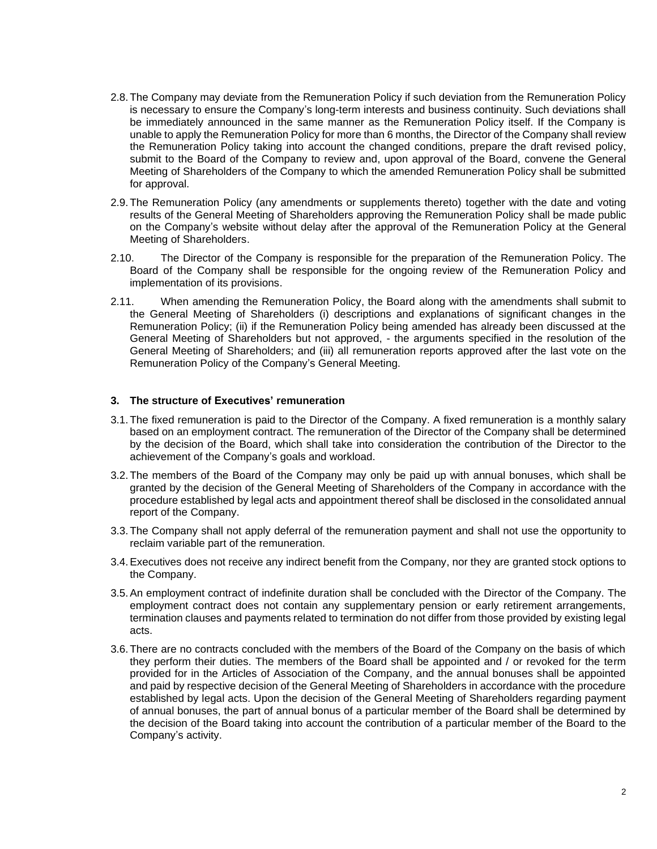- 2.8.The Company may deviate from the Remuneration Policy if such deviation from the Remuneration Policy is necessary to ensure the Company's long-term interests and business continuity. Such deviations shall be immediately announced in the same manner as the Remuneration Policy itself. If the Company is unable to apply the Remuneration Policy for more than 6 months, the Director of the Company shall review the Remuneration Policy taking into account the changed conditions, prepare the draft revised policy, submit to the Board of the Company to review and, upon approval of the Board, convene the General Meeting of Shareholders of the Company to which the amended Remuneration Policy shall be submitted for approval.
- 2.9.The Remuneration Policy (any amendments or supplements thereto) together with the date and voting results of the General Meeting of Shareholders approving the Remuneration Policy shall be made public on the Company's website without delay after the approval of the Remuneration Policy at the General Meeting of Shareholders.
- 2.10. The Director of the Company is responsible for the preparation of the Remuneration Policy. The Board of the Company shall be responsible for the ongoing review of the Remuneration Policy and implementation of its provisions.
- 2.11. When amending the Remuneration Policy, the Board along with the amendments shall submit to the General Meeting of Shareholders (i) descriptions and explanations of significant changes in the Remuneration Policy; (ii) if the Remuneration Policy being amended has already been discussed at the General Meeting of Shareholders but not approved, - the arguments specified in the resolution of the General Meeting of Shareholders; and (iii) all remuneration reports approved after the last vote on the Remuneration Policy of the Company's General Meeting.

# **3. The structure of Executives' remuneration**

- 3.1.The fixed remuneration is paid to the Director of the Company. A fixed remuneration is a monthly salary based on an employment contract. The remuneration of the Director of the Company shall be determined by the decision of the Board, which shall take into consideration the contribution of the Director to the achievement of the Company's goals and workload.
- 3.2.The members of the Board of the Company may only be paid up with annual bonuses, which shall be granted by the decision of the General Meeting of Shareholders of the Company in accordance with the procedure established by legal acts and appointment thereof shall be disclosed in the consolidated annual report of the Company.
- 3.3.The Company shall not apply deferral of the remuneration payment and shall not use the opportunity to reclaim variable part of the remuneration.
- 3.4.Executives does not receive any indirect benefit from the Company, nor they are granted stock options to the Company.
- 3.5.An employment contract of indefinite duration shall be concluded with the Director of the Company. The employment contract does not contain any supplementary pension or early retirement arrangements, termination clauses and payments related to termination do not differ from those provided by existing legal acts.
- 3.6.There are no contracts concluded with the members of the Board of the Company on the basis of which they perform their duties. The members of the Board shall be appointed and / or revoked for the term provided for in the Articles of Association of the Company, and the annual bonuses shall be appointed and paid by respective decision of the General Meeting of Shareholders in accordance with the procedure established by legal acts. Upon the decision of the General Meeting of Shareholders regarding payment of annual bonuses, the part of annual bonus of a particular member of the Board shall be determined by the decision of the Board taking into account the contribution of a particular member of the Board to the Company's activity.